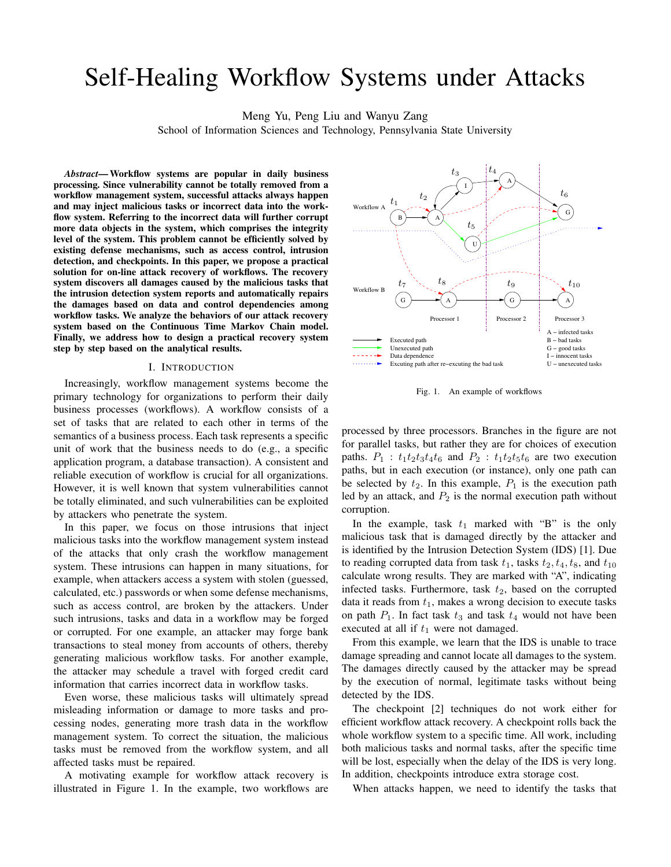# Self-Healing Workflow Systems under Attacks

Meng Yu, Peng Liu and Wanyu Zang

School of Information Sciences and Technology, Pennsylvania State University

*Abstract***—Workflow systems are popular in daily business processing. Since vulnerability cannot be totally removed from a workflow management system, successful attacks always happen and may inject malicious tasks or incorrect data into the workflow system. Referring to the incorrect data will further corrupt more data objects in the system, which comprises the integrity ments level of the system. This problem cannot be efficiently solved by existing defense mechanisms, such as access control, intrusion detection, and checkpoints. In this paper, we propose a practical solution for on-line attack recovery of workflows. The recovery system discovers all damages caused by the malicious tasks that the intrusion detection system reports and automatically repairs the damages based on data and control dependencies among workflow tasks. We analyze the behaviors of our attack recovery system based on the Continuous Time Markov Chain model. Finally, we address how to design a practical recovery system step by step based on the analytical results.**

#### I. INTRODUCTION

Increasingly, workflow management systems become the primary technology for organizations to perform their daily business processes (workflows). A workflow consists of a set of tasks that are related to each other in terms of the semantics of a business process. Each task represents a specific unit of work that the business needs to do (e.g., a specific application program, a database transaction). A consistent and reliable execution of workflow is crucial for all organizations. However, it is well known that system vulnerabilities cannot be totally eliminated, and such vulnerabilities can be exploited by attackers who penetrate the system.

In this paper, we focus on those intrusions that inject malicious tasks into the workflow management system instead of the attacks that only crash the workflow management system. These intrusions can happen in many situations, for example, when attackers access a system with stolen (guessed, calculated, etc.) passwords or when some defense mechanisms, such as access control, are broken by the attackers. Under such intrusions, tasks and data in a workflow may be forged or corrupted. For one example, an attacker may forge bank transactions to steal money from accounts of others, thereby generating malicious workflow tasks. For another example, the attacker may schedule a travel with forged credit card information that carries incorrect data in workflow tasks.

Even worse, these malicious tasks will ultimately spread misleading information or damage to more tasks and processing nodes, generating more trash data in the workflow management system. To correct the situation, the malicious tasks must be removed from the workflow system, and all affected tasks must be repaired.

A motivating example for workflow attack recovery is illustrated in Figure 1. In the example, two workflows are



Fig. 1. An example of workflows

processed by three processors. Branches in the figure are not for parallel tasks, but rather they are for choices of execution paths.  $P_1$ :  $t_1t_2t_3t_4t_6$  and  $P_2$ :  $t_1t_2t_5t_6$  are two execution paths, but in each execution (or instance), only one path can be selected by  $t_2$ . In this example,  $P_1$  is the execution path led by an attack, and  $P_2$  is the normal execution path without corruption.

In the example, task  $t_1$  marked with "B" is the only malicious task that is damaged directly by the attacker and is identified by the Intrusion Detection System (IDS) [1]. Due to reading corrupted data from task  $t_1$ , tasks  $t_2, t_4, t_8$ , and  $t_{10}$ calculate wrong results. They are marked with "A", indicating infected tasks. Furthermore, task  $t_2$ , based on the corrupted data it reads from  $t_1$ , makes a wrong decision to execute tasks on path  $P_1$ . In fact task  $t_3$  and task  $t_4$  would not have been executed at all if  $t_1$  were not damaged.

From this example, we learn that the IDS is unable to trace damage spreading and cannot locate all damages to the system. The damages directly caused by the attacker may be spread by the execution of normal, legitimate tasks without being detected by the IDS.

The checkpoint [2] techniques do not work either for efficient workflow attack recovery. A checkpoint rolls back the whole workflow system to a specific time. All work, including both malicious tasks and normal tasks, after the specific time will be lost, especially when the delay of the IDS is very long. In addition, checkpoints introduce extra storage cost.

When attacks happen, we need to identify the tasks that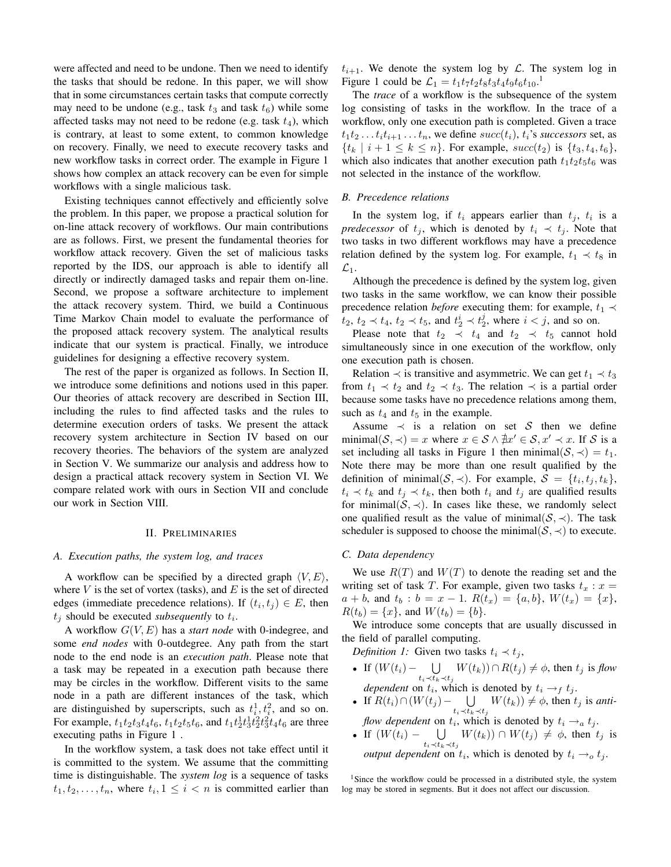were affected and need to be undone. Then we need to identify the tasks that should be redone. In this paper, we will show that in some circumstances certain tasks that compute correctly may need to be undone (e.g., task  $t_3$  and task  $t_6$ ) while some affected tasks may not need to be redone (e.g. task  $t_4$ ), which is contrary, at least to some extent, to common knowledge on recovery. Finally, we need to execute recovery tasks and new workflow tasks in correct order. The example in Figure 1 shows how complex an attack recovery can be even for simple workflows with a single malicious task.

Existing techniques cannot effectively and efficiently solve the problem. In this paper, we propose a practical solution for on-line attack recovery of workflows. Our main contributions are as follows. First, we present the fundamental theories for workflow attack recovery. Given the set of malicious tasks reported by the IDS, our approach is able to identify all directly or indirectly damaged tasks and repair them on-line. Second, we propose a software architecture to implement the attack recovery system. Third, we build a Continuous Time Markov Chain model to evaluate the performance of the proposed attack recovery system. The analytical results indicate that our system is practical. Finally, we introduce guidelines for designing a effective recovery system.

The rest of the paper is organized as follows. In Section II, we introduce some definitions and notions used in this paper. Our theories of attack recovery are described in Section III, including the rules to find affected tasks and the rules to determine execution orders of tasks. We present the attack recovery system architecture in Section IV based on our recovery theories. The behaviors of the system are analyzed in Section V. We summarize our analysis and address how to design a practical attack recovery system in Section VI. We compare related work with ours in Section VII and conclude our work in Section VIII.

#### II. PRELIMINARIES

#### *A. Execution paths, the system log, and traces*

A workflow can be specified by a directed graph  $\langle V, E \rangle$ , where  $V$  is the set of vortex (tasks), and  $E$  is the set of directed edges (immediate precedence relations). If  $(t_i, t_j) \in E$ , then  $t_j$  should be executed *subsequently* to  $t_i$ .

A workflow G(V, E) has a *start node* with 0-indegree, and some *end nodes* with 0-outdegree. Any path from the start node to the end node is an *execution path*. Please note that a task may be repeated in a execution path because there may be circles in the workflow. Different visits to the same node in a path are different instances of the task, which are distinguished by superscripts, such as  $t_i^1, t_i^2$ , and so on. For example,  $t_1t_2t_3t_4t_6$ ,  $t_1t_2t_5t_6$ , and  $t_1t_2^1t_3^1t_2^2t_3^2t_4t_6$  are three executing paths in Figure 1 .

In the workflow system, a task does not take effect until it is committed to the system. We assume that the committing time is distinguishable. The *system log* is a sequence of tasks  $t_1, t_2, \ldots, t_n$ , where  $t_i, 1 \leq i < n$  is committed earlier than

 $t_{i+1}$ . We denote the system log by  $\mathcal{L}$ . The system log in Figure 1 could be  $\mathcal{L}_1 = t_1 t_7 t_2 t_8 t_3 t_4 t_9 t_6 t_{10}.$ <sup>1</sup>

The *trace* of a workflow is the subsequence of the system log consisting of tasks in the workflow. In the trace of a workflow, only one execution path is completed. Given a trace  $t_1t_2 \ldots t_i t_{i+1} \ldots t_n$ , we define  $succ(t_i)$ ,  $t_i$ 's *successors* set, as  $\{t_k | i+1 \leq k \leq n\}$ . For example,  $succ(t_2)$  is  $\{t_3, t_4, t_6\}$ , which also indicates that another execution path  $t_1t_2t_5t_6$  was not selected in the instance of the workflow.

## *B. Precedence relations*

In the system log, if  $t_i$  appears earlier than  $t_j$ ,  $t_i$  is a *predecessor* of  $t_j$ , which is denoted by  $t_i \prec t_j$ . Note that two tasks in two different workflows may have a precedence relation defined by the system log. For example,  $t_1 \prec t_8$  in  $\mathcal{L}_1$ .

Although the precedence is defined by the system log, given two tasks in the same workflow, we can know their possible precedence relation *before* executing them: for example,  $t_1 \prec$  $t_2, t_2 \lt t_4, t_2 \lt t_5$ , and  $t_2^i \lt t_2^j$ , where  $i < j$ , and so on.

Please note that  $t_2 \prec t_4$  and  $t_2 \prec t_5$  cannot hold simultaneously since in one execution of the workflow, only one execution path is chosen.

Relation  $\prec$  is transitive and asymmetric. We can get  $t_1 \prec t_3$ from  $t_1 \prec t_2$  and  $t_2 \prec t_3$ . The relation  $\prec$  is a partial order because some tasks have no precedence relations among them, such as  $t_4$  and  $t_5$  in the example.

Assume  $\prec$  is a relation on set S then we define minimal $(S, \prec) = x$  where  $x \in S \land \nexists x' \in S, x' \prec x$ . If S is a set including all tasks in Figure 1 then minimal( $S, \prec$ ) =  $t_1$ . Note there may be more than one result qualified by the definition of minimal $(S, \prec)$ . For example,  $S = \{t_i, t_j, t_k\}$ ,  $t_i \prec t_k$  and  $t_j \prec t_k$ , then both  $t_i$  and  $t_j$  are qualified results for minimal( $S, \prec$ ). In cases like these, we randomly select one qualified result as the value of minimal( $S, \prec$ ). The task scheduler is supposed to choose the minimal( $S, \prec$ ) to execute.

# *C. Data dependency*

We use  $R(T)$  and  $W(T)$  to denote the reading set and the writing set of task T. For example, given two tasks  $t_x : x =$  $a + b$ , and  $t_b : b = x - 1$ .  $R(t_x) = \{a, b\}$ ,  $W(t_x) = \{x\}$ ,  $R(t_b) = \{x\}$ , and  $W(t_b) = \{b\}$ .

We introduce some concepts that are usually discussed in the field of parallel computing.

*Definition 1:* Given two tasks  $t_i \prec t_j$ ,

- If  $(W(t_i) \bigcup$  $\bigcup_{t_i \prec t_k \prec t_j} W(t_k) \cap R(t_j) \neq \phi$ , then  $t_j$  is *flow dependent* on  $t_i$ , which is denoted by  $t_i \rightarrow_f t_j$ .
- If  $R(t_i) \cap (W(t_j) \bigcup$  $\bigcup_{t_i \prec t_k \prec t_j} W(t_k)$   $\neq \phi$ , then  $t_j$  is *antiflow dependent* on  $t_i$ , which is denoted by  $t_i \rightarrow_a t_j$ .
- If  $(W(t_i) \bigcup$  $\bigcup_{t_i \prec t_k \prec t_j} W(t_k) \big) \cap W(t_j) \neq \phi$ , then  $t_j$  is *output dependent* on  $t_i$ , which is denoted by  $t_i \rightarrow o t_j$ .

<sup>1</sup>Since the workflow could be processed in a distributed style, the system log may be stored in segments. But it does not affect our discussion.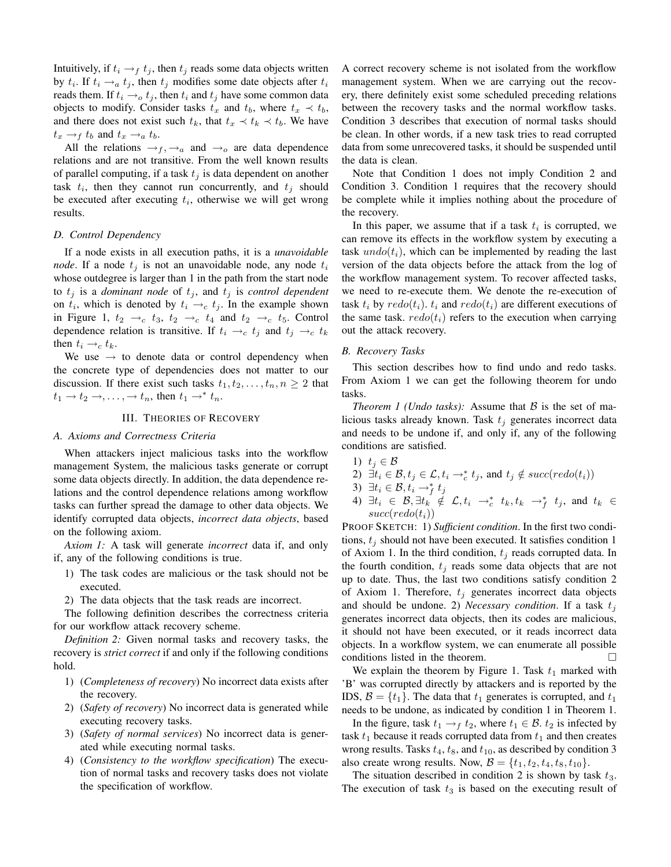Intuitively, if  $t_i \rightarrow_f t_j$ , then  $t_j$  reads some data objects written by  $t_i$ . If  $t_i \rightarrow_a t_j$ , then  $t_j$  modifies some date objects after  $t_i$ reads them. If  $t_i \rightarrow o t_j$ , then  $t_i$  and  $t_j$  have some common data objects to modify. Consider tasks  $t_x$  and  $t_b$ , where  $t_x \prec t_b$ , and there does not exist such  $t_k$ , that  $t_x \prec t_k \prec t_b$ . We have  $t_x \rightarrow_f t_b$  and  $t_x \rightarrow_a t_b$ .

All the relations  $\rightarrow$   $f$ ,  $\rightarrow$  a and  $\rightarrow$  are data dependence relations and are not transitive. From the well known results of parallel computing, if a task  $t_j$  is data dependent on another task  $t_i$ , then they cannot run concurrently, and  $t_j$  should be executed after executing  $t_i$ , otherwise we will get wrong results.

# *D. Control Dependency*

If a node exists in all execution paths, it is a *unavoidable node*. If a node  $t_i$  is not an unavoidable node, any node  $t_i$ whose outdegree is larger than 1 in the path from the start node to  $t_j$  is a *dominant* node of  $t_j$ , and  $t_j$  is *control dependent* on  $t_i$ , which is denoted by  $t_i \rightarrow_c t_j$ . In the example shown in Figure 1,  $t_2 \rightarrow_c t_3$ ,  $t_2 \rightarrow_c t_4$  and  $t_2 \rightarrow_c t_5$ . Control dependence relation is transitive. If  $t_i \rightarrow_c t_j$  and  $t_j \rightarrow_c t_k$ then  $t_i \rightarrow_c t_k$ .

We use  $\rightarrow$  to denote data or control dependency when the concrete type of dependencies does not matter to our discussion. If there exist such tasks  $t_1, t_2, \ldots, t_n, n \geq 2$  that  $t_1 \rightarrow t_2 \rightarrow, \ldots, \rightarrow t_n$ , then  $t_1 \rightarrow^* t_n$ .

#### III. THEORIES OF RECOVERY

### *A. Axioms and Correctness Criteria*

When attackers inject malicious tasks into the workflow management System, the malicious tasks generate or corrupt some data objects directly. In addition, the data dependence relations and the control dependence relations among workflow tasks can further spread the damage to other data objects. We identify corrupted data objects, *incorrect data objects*, based on the following axiom.

*Axiom 1:* A task will generate *incorrect* data if, and only if, any of the following conditions is true.

1) The task codes are malicious or the task should not be executed.

2) The data objects that the task reads are incorrect.

The following definition describes the correctness criteria for our workflow attack recovery scheme.

*Definition 2:* Given normal tasks and recovery tasks, the recovery is *strict correct* if and only if the following conditions hold.

- 1) (*Completeness of recovery*) No incorrect data exists after the recovery.
- 2) (*Safety of recovery*) No incorrect data is generated while executing recovery tasks.
- 3) (*Safety of normal services*) No incorrect data is generated while executing normal tasks.
- 4) (*Consistency to the workflow specification*) The execution of normal tasks and recovery tasks does not violate the specification of workflow.

A correct recovery scheme is not isolated from the workflow management system. When we are carrying out the recovery, there definitely exist some scheduled preceding relations between the recovery tasks and the normal workflow tasks. Condition 3 describes that execution of normal tasks should be clean. In other words, if a new task tries to read corrupted data from some unrecovered tasks, it should be suspended until the data is clean.

Note that Condition 1 does not imply Condition 2 and Condition 3. Condition 1 requires that the recovery should be complete while it implies nothing about the procedure of the recovery.

In this paper, we assume that if a task  $t_i$  is corrupted, we can remove its effects in the workflow system by executing a task  $undo(t_i)$ , which can be implemented by reading the last version of the data objects before the attack from the log of the workflow management system. To recover affected tasks, we need to re-execute them. We denote the re-execution of task  $t_i$  by  $redo(t_i)$ .  $t_i$  and  $redo(t_i)$  are different executions of the same task.  $redo(t_i)$  refers to the execution when carrying out the attack recovery.

#### *B. Recovery Tasks*

This section describes how to find undo and redo tasks. From Axiom 1 we can get the following theorem for undo tasks.

*Theorem 1 (Undo tasks):* Assume that  $\beta$  is the set of malicious tasks already known. Task  $t_j$  generates incorrect data and needs to be undone if, and only if, any of the following conditions are satisfied.

- 1)  $t_i \in \mathcal{B}$
- 2)  $\exists t_i \in \mathcal{B}, t_j \in \mathcal{L}, t_i \rightarrow_c^* t_j$ , and  $t_j \notin succ(redo(t_i))$
- 3)  $\exists t_i \in \mathcal{B}, t_i \rightarrow_f^* t_j$
- 4)  $\exists t_i \in \mathcal{B}, \exists t_k \notin \mathcal{L}, t_i \rightarrow_c^* t_k, t_k \rightarrow_f^* t_j$ , and  $t_k \in$  $succ(redo(t_i))$

PROOF SKETCH: 1) *Sufficient condition*. In the first two conditions,  $t_i$  should not have been executed. It satisfies condition 1 of Axiom 1. In the third condition,  $t_j$  reads corrupted data. In the fourth condition,  $t_i$  reads some data objects that are not up to date. Thus, the last two conditions satisfy condition 2 of Axiom 1. Therefore,  $t_j$  generates incorrect data objects and should be undone. 2) *Necessary condition*. If a task  $t_i$ generates incorrect data objects, then its codes are malicious, it should not have been executed, or it reads incorrect data objects. In a workflow system, we can enumerate all possible conditions listed in the theorem.

We explain the theorem by Figure 1. Task  $t_1$  marked with 'B' was corrupted directly by attackers and is reported by the IDS,  $B = \{t_1\}$ . The data that  $t_1$  generates is corrupted, and  $t_1$ needs to be undone, as indicated by condition 1 in Theorem 1.

In the figure, task  $t_1 \rightarrow_f t_2$ , where  $t_1 \in \mathcal{B}$ .  $t_2$  is infected by task  $t_1$  because it reads corrupted data from  $t_1$  and then creates wrong results. Tasks  $t_4$ ,  $t_8$ , and  $t_{10}$ , as described by condition 3 also create wrong results. Now,  $\mathcal{B} = \{t_1, t_2, t_4, t_8, t_{10}\}.$ 

The situation described in condition 2 is shown by task  $t_3$ . The execution of task  $t_3$  is based on the executing result of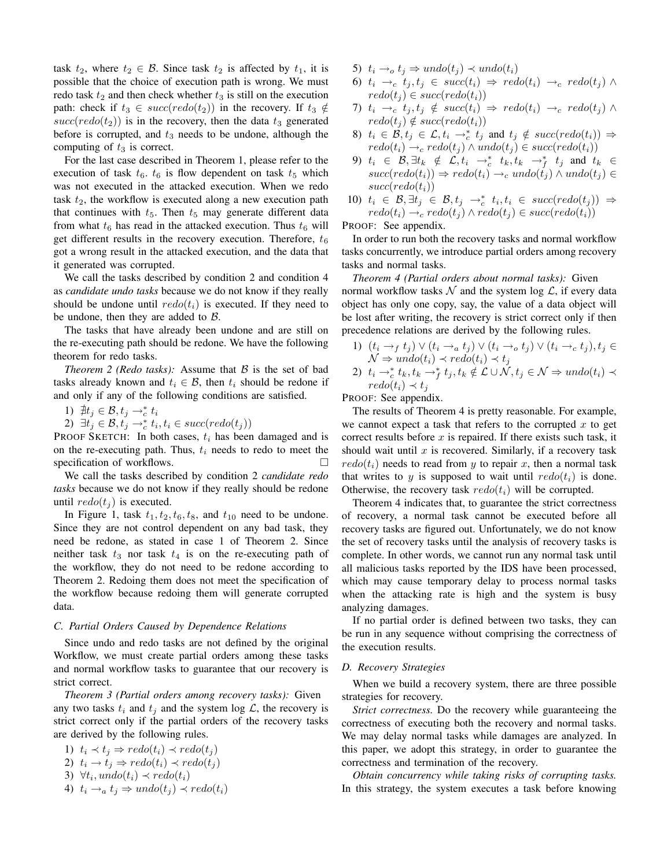task  $t_2$ , where  $t_2 \in \mathcal{B}$ . Since task  $t_2$  is affected by  $t_1$ , it is possible that the choice of execution path is wrong. We must redo task  $t_2$  and then check whether  $t_3$  is still on the execution path: check if  $t_3 \in succ(redo(t_2))$  in the recovery. If  $t_3 \notin$  $succ(redo(t_2))$  is in the recovery, then the data  $t_3$  generated before is corrupted, and  $t_3$  needs to be undone, although the computing of  $t_3$  is correct.

For the last case described in Theorem 1, please refer to the execution of task  $t_6$ .  $t_6$  is flow dependent on task  $t_5$  which was not executed in the attacked execution. When we redo task  $t_2$ , the workflow is executed along a new execution path that continues with  $t_5$ . Then  $t_5$  may generate different data from what  $t_6$  has read in the attacked execution. Thus  $t_6$  will get different results in the recovery execution. Therefore,  $t_6$ got a wrong result in the attacked execution, and the data that it generated was corrupted.

We call the tasks described by condition 2 and condition 4 as *candidate undo tasks* because we do not know if they really should be undone until  $redo(t_i)$  is executed. If they need to be undone, then they are added to  $\beta$ .

The tasks that have already been undone and are still on the re-executing path should be redone. We have the following theorem for redo tasks.

*Theorem 2 (Redo tasks):* Assume that B is the set of bad tasks already known and  $t_i \in \mathcal{B}$ , then  $t_i$  should be redone if and only if any of the following conditions are satisfied.

1) 
$$
\nexists t_j \in \mathcal{B}, t_j \rightarrow_c^* t_i
$$

1)  $\mu_j \in \mathcal{B}, t_j \to_c^{\mathcal{C}} t_i$ <br>2)  $\exists t_j \in \mathcal{B}, t_j \to_c^{\mathcal{C}} t_i, t_i \in succ(redo(t_j))$ 

PROOF SKETCH: In both cases,  $t_i$  has been damaged and is on the re-executing path. Thus,  $t_i$  needs to redo to meet the specification of workflows.

We call the tasks described by condition 2 *candidate redo tasks* because we do not know if they really should be redone until  $redo(t_i)$  is executed.

In Figure 1, task  $t_1, t_2, t_6, t_8$ , and  $t_{10}$  need to be undone. Since they are not control dependent on any bad task, they need be redone, as stated in case 1 of Theorem 2. Since neither task  $t_3$  nor task  $t_4$  is on the re-executing path of the workflow, they do not need to be redone according to Theorem 2. Redoing them does not meet the specification of the workflow because redoing them will generate corrupted data.

#### *C. Partial Orders Caused by Dependence Relations*

Since undo and redo tasks are not defined by the original Workflow, we must create partial orders among these tasks and normal workflow tasks to guarantee that our recovery is strict correct.

*Theorem 3 (Partial orders among recovery tasks):* Given any two tasks  $t_i$  and  $t_j$  and the system log  $\mathcal{L}$ , the recovery is strict correct only if the partial orders of the recovery tasks are derived by the following rules.

1)  $t_i \prec t_j \Rightarrow \text{redo}(t_i) \prec \text{redo}(t_j)$ 2)  $t_i \rightarrow t_j \Rightarrow \text{redo}(t_i) \prec \text{redo}(t_j)$ 3)  $\forall t_i, undo(t_i) \prec redo(t_i)$ 4)  $t_i \rightarrow_a t_j \Rightarrow undo(t_j) \prec redo(t_i)$ 

- 5)  $t_i \rightarrow_o t_j \Rightarrow undo(t_j) \prec undo(t_i)$
- 6)  $t_i \rightarrow_c t_j, t_j \in succ(t_i) \Rightarrow redo(t_i) \rightarrow_c redo(t_j) \wedge$  $redo(t_i) \in succ(redo(t_i))$
- 7)  $t_i \rightarrow_c t_j, t_j \notin succ(t_i) \Rightarrow redo(t_i) \rightarrow_c redo(t_j) \land$  $redo(t_i) \notin succ(redo(t_i))$
- 8)  $t_i \in \mathcal{B}, t_j \in \mathcal{L}, t_i \rightarrow_c^* t_j$  and  $t_j \notin succ(redo(t_i)) \Rightarrow$  $redo(t_i) \rightarrow_c \text{redo}(t_j) \land \text{undo}(t_j) \in succ(redo(t_i))$
- 9)  $t_i \in \mathcal{B}, \exists t_k \notin \mathcal{L}, t_i \rightarrow_c^* t_k, t_k \rightarrow_f^* t_j$  and  $t_k \in$  $succ(redo(t_i)) \Rightarrow redo(t_i) \rightarrow_c undo(t_j) \land undo(t_j) \in$  $succ(redo(t_i))$
- 10)  $t_i \in \mathcal{B}, \exists t_j \in \mathcal{B}, t_j \rightarrow_c^* t_i, t_i \in succ(redo(t_j)) \Rightarrow$  $redo(t_i) \rightarrow_c \text{redo}(t_j) \land \text{redo}(t_j) \in succ(\text{redo}(t_i))$

PROOF: See appendix.

In order to run both the recovery tasks and normal workflow tasks concurrently, we introduce partial orders among recovery tasks and normal tasks.

*Theorem 4 (Partial orders about normal tasks):* Given normal workflow tasks  $\mathcal N$  and the system log  $\mathcal L$ , if every data object has only one copy, say, the value of a data object will be lost after writing, the recovery is strict correct only if then precedence relations are derived by the following rules.

1)  $(t_i \rightarrow_f t_j) \vee (t_i \rightarrow_a t_j) \vee (t_i \rightarrow_o t_j) \vee (t_i \rightarrow_c t_j), t_j \in$  $\mathcal{N} \Rightarrow undo(t_i) \prec redo(t_i) \prec t_j$ 2)  $t_i \rightarrow_c^* t_k, t_k \rightarrow_f^* t_j, t_k \notin \mathcal{L} \cup \mathcal{N}, t_j \in \mathcal{N} \Rightarrow undo(t_i) \prec$  $redo(t_i) \prec t_j$ 

PROOF: See appendix.

The results of Theorem 4 is pretty reasonable. For example, we cannot expect a task that refers to the corrupted  $x$  to get correct results before  $x$  is repaired. If there exists such task, it should wait until  $x$  is recovered. Similarly, if a recovery task  $redo(t_i)$  needs to read from y to repair x, then a normal task that writes to y is supposed to wait until  $redo(t_i)$  is done. Otherwise, the recovery task  $redo(t_i)$  will be corrupted.

Theorem 4 indicates that, to guarantee the strict correctness of recovery, a normal task cannot be executed before all recovery tasks are figured out. Unfortunately, we do not know the set of recovery tasks until the analysis of recovery tasks is complete. In other words, we cannot run any normal task until all malicious tasks reported by the IDS have been processed, which may cause temporary delay to process normal tasks when the attacking rate is high and the system is busy analyzing damages.

If no partial order is defined between two tasks, they can be run in any sequence without comprising the correctness of the execution results.

# *D. Recovery Strategies*

When we build a recovery system, there are three possible strategies for recovery.

*Strict correctness.* Do the recovery while guaranteeing the correctness of executing both the recovery and normal tasks. We may delay normal tasks while damages are analyzed. In this paper, we adopt this strategy, in order to guarantee the correctness and termination of the recovery.

*Obtain concurrency while taking risks of corrupting tasks.* In this strategy, the system executes a task before knowing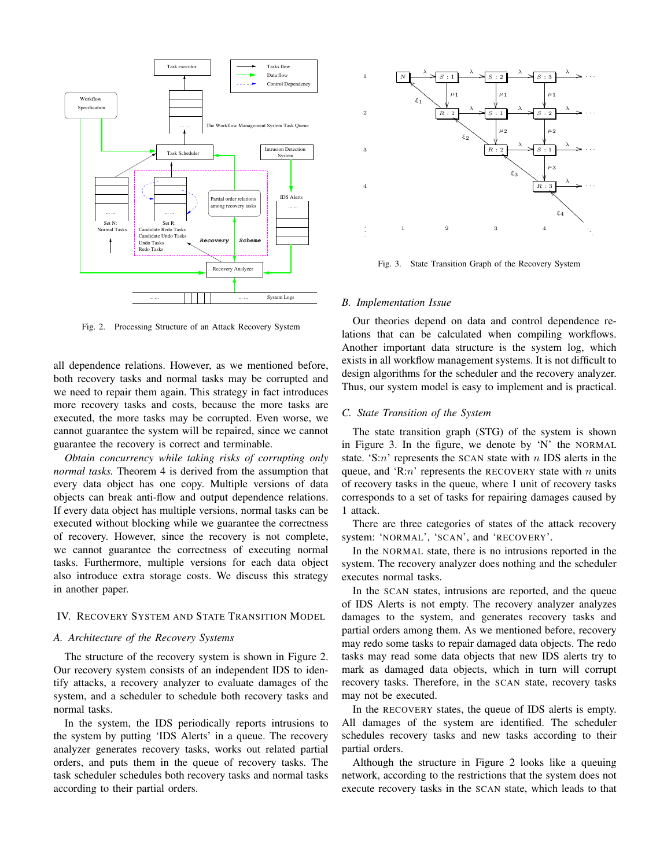

Fig. 2. Processing Structure of an Attack Recovery System

all dependence relations. However, as we mentioned before, both recovery tasks and normal tasks may be corrupted and we need to repair them again. This strategy in fact introduces more recovery tasks and costs, because the more tasks are executed, the more tasks may be corrupted. Even worse, we cannot guarantee the system will be repaired, since we cannot guarantee the recovery is correct and terminable.

*Obtain concurrency while taking risks of corrupting only normal tasks.* Theorem 4 is derived from the assumption that every data object has one copy. Multiple versions of data objects can break anti-flow and output dependence relations. If every data object has multiple versions, normal tasks can be executed without blocking while we guarantee the correctness of recovery. However, since the recovery is not complete, we cannot guarantee the correctness of executing normal tasks. Furthermore, multiple versions for each data object also introduce extra storage costs. We discuss this strategy in another paper.

#### IV. RECOVERY SYSTEM AND STATE TRANSITION MODEL

# *A. Architecture of the Recovery Systems*

The structure of the recovery system is shown in Figure 2. Our recovery system consists of an independent IDS to identify attacks, a recovery analyzer to evaluate damages of the system, and a scheduler to schedule both recovery tasks and normal tasks.

In the system, the IDS periodically reports intrusions to the system by putting 'IDS Alerts' in a queue. The recovery analyzer generates recovery tasks, works out related partial orders, and puts them in the queue of recovery tasks. The task scheduler schedules both recovery tasks and normal tasks according to their partial orders.



Fig. 3. State Transition Graph of the Recovery System

#### *B. Implementation Issue*

Our theories depend on data and control dependence relations that can be calculated when compiling workflows. Another important data structure is the system log, which exists in all workflow management systems. It is not difficult to design algorithms for the scheduler and the recovery analyzer. Thus, our system model is easy to implement and is practical.

#### *C. State Transition of the System*

The state transition graph (STG) of the system is shown in Figure 3. In the figure, we denote by 'N' the NORMAL state. 'S: $n$ ' represents the SCAN state with  $n$  IDS alerts in the queue, and 'R: $n$ ' represents the RECOVERY state with n units of recovery tasks in the queue, where 1 unit of recovery tasks corresponds to a set of tasks for repairing damages caused by 1 attack.

There are three categories of states of the attack recovery system: 'NORMAL', 'SCAN', and 'RECOVERY'.

In the NORMAL state, there is no intrusions reported in the system. The recovery analyzer does nothing and the scheduler executes normal tasks.

In the SCAN states, intrusions are reported, and the queue of IDS Alerts is not empty. The recovery analyzer analyzes damages to the system, and generates recovery tasks and partial orders among them. As we mentioned before, recovery may redo some tasks to repair damaged data objects. The redo tasks may read some data objects that new IDS alerts try to mark as damaged data objects, which in turn will corrupt recovery tasks. Therefore, in the SCAN state, recovery tasks may not be executed.

In the RECOVERY states, the queue of IDS alerts is empty. All damages of the system are identified. The scheduler schedules recovery tasks and new tasks according to their partial orders.

Although the structure in Figure 2 looks like a queuing network, according to the restrictions that the system does not execute recovery tasks in the SCAN state, which leads to that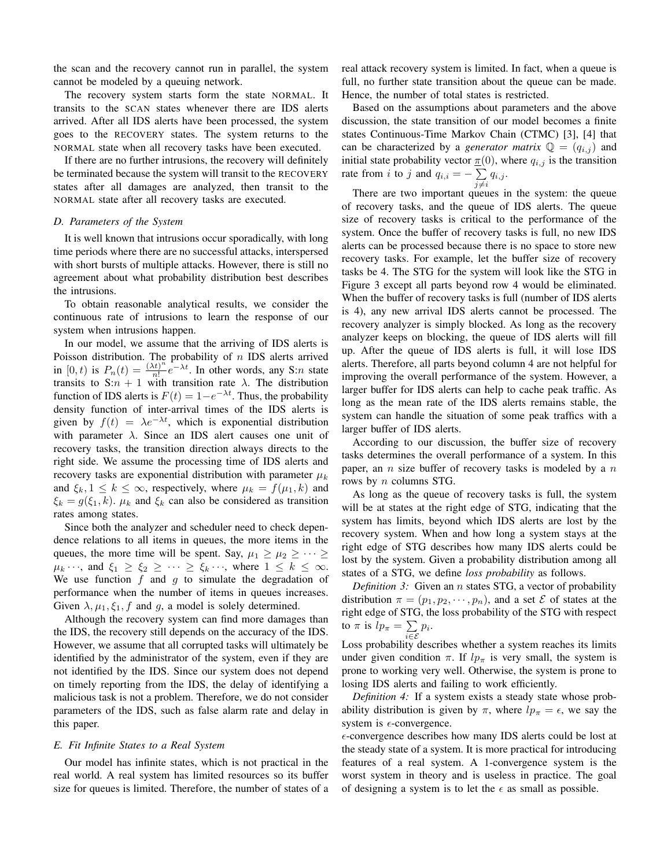the scan and the recovery cannot run in parallel, the system cannot be modeled by a queuing network.

The recovery system starts form the state NORMAL. It transits to the SCAN states whenever there are IDS alerts arrived. After all IDS alerts have been processed, the system goes to the RECOVERY states. The system returns to the NORMAL state when all recovery tasks have been executed.

If there are no further intrusions, the recovery will definitely be terminated because the system will transit to the RECOVERY states after all damages are analyzed, then transit to the NORMAL state after all recovery tasks are executed.

#### *D. Parameters of the System*

It is well known that intrusions occur sporadically, with long time periods where there are no successful attacks, interspersed with short bursts of multiple attacks. However, there is still no agreement about what probability distribution best describes the intrusions.

To obtain reasonable analytical results, we consider the continuous rate of intrusions to learn the response of our system when intrusions happen.

In our model, we assume that the arriving of IDS alerts is Poisson distribution. The probability of  $n$  IDS alerts arrived in [0, t) is  $P_n(t) = \frac{(\lambda t)^n}{n!}$  $\frac{(x^n)^n}{n!}e^{-\lambda t}$ . In other words, any S:*n* state transits to S: $n + 1$  with transition rate  $\lambda$ . The distribution function of IDS alerts is  $F(t) = 1 - e^{-\lambda t}$ . Thus, the probability density function of inter-arrival times of the IDS alerts is given by  $f(t) = \lambda e^{-\lambda t}$ , which is exponential distribution with parameter  $\lambda$ . Since an IDS alert causes one unit of recovery tasks, the transition direction always directs to the right side. We assume the processing time of IDS alerts and recovery tasks are exponential distribution with parameter  $\mu_k$ and  $\xi_k$ ,  $1 \leq k \leq \infty$ , respectively, where  $\mu_k = f(\mu_1, k)$  and  $\xi_k = g(\xi_1, k)$ .  $\mu_k$  and  $\xi_k$  can also be considered as transition rates among states.

Since both the analyzer and scheduler need to check dependence relations to all items in queues, the more items in the queues, the more time will be spent. Say,  $\mu_1 \geq \mu_2 \geq \cdots \geq$  $\mu_k \cdots$ , and  $\xi_1 \geq \xi_2 \geq \cdots \geq \xi_k \cdots$ , where  $1 \leq k \leq \infty$ . We use function  $f$  and  $g$  to simulate the degradation of performance when the number of items in queues increases. Given  $\lambda, \mu_1, \xi_1, f$  and g, a model is solely determined.

Although the recovery system can find more damages than the IDS, the recovery still depends on the accuracy of the IDS. However, we assume that all corrupted tasks will ultimately be identified by the administrator of the system, even if they are not identified by the IDS. Since our system does not depend on timely reporting from the IDS, the delay of identifying a malicious task is not a problem. Therefore, we do not consider parameters of the IDS, such as false alarm rate and delay in this paper.

## *E. Fit Infinite States to a Real System*

Our model has infinite states, which is not practical in the real world. A real system has limited resources so its buffer size for queues is limited. Therefore, the number of states of a real attack recovery system is limited. In fact, when a queue is full, no further state transition about the queue can be made. Hence, the number of total states is restricted.

Based on the assumptions about parameters and the above discussion, the state transition of our model becomes a finite states Continuous-Time Markov Chain (CTMC) [3], [4] that can be characterized by a *generator matrix*  $\mathbb{Q} = (q_{i,j})$  and initial state probability vector  $\pi(0)$ , where  $q_{i,j}$  is the transition rate from *i* to *j* and  $q_{i,i} = -\sum$  $\sum_{j\neq i} q_{i,j}$ .

There are two important queues in the system: the queue of recovery tasks, and the queue of IDS alerts. The queue size of recovery tasks is critical to the performance of the system. Once the buffer of recovery tasks is full, no new IDS alerts can be processed because there is no space to store new recovery tasks. For example, let the buffer size of recovery tasks be 4. The STG for the system will look like the STG in Figure 3 except all parts beyond row 4 would be eliminated. When the buffer of recovery tasks is full (number of IDS alerts is 4), any new arrival IDS alerts cannot be processed. The recovery analyzer is simply blocked. As long as the recovery analyzer keeps on blocking, the queue of IDS alerts will fill up. After the queue of IDS alerts is full, it will lose IDS alerts. Therefore, all parts beyond column 4 are not helpful for improving the overall performance of the system. However, a larger buffer for IDS alerts can help to cache peak traffic. As long as the mean rate of the IDS alerts remains stable, the system can handle the situation of some peak traffics with a larger buffer of IDS alerts.

According to our discussion, the buffer size of recovery tasks determines the overall performance of a system. In this paper, an  $n$  size buffer of recovery tasks is modeled by a  $n$ rows by n columns STG.

As long as the queue of recovery tasks is full, the system will be at states at the right edge of STG, indicating that the system has limits, beyond which IDS alerts are lost by the recovery system. When and how long a system stays at the right edge of STG describes how many IDS alerts could be lost by the system. Given a probability distribution among all states of a STG, we define *loss probability* as follows.

*Definition* 3: Given an *n* states STG, a vector of probability distribution  $\pi = (p_1, p_2, \dots, p_n)$ , and a set  $\mathcal E$  of states at the right edge of STG, the loss probability of the STG with respect to  $\pi$  is  $lp_{\pi} = \sum$  $\sum_{i\in\mathcal{E}} p_i$ .

Loss probability describes whether a system reaches its limits under given condition  $\pi$ . If  $lp_{\pi}$  is very small, the system is prone to working very well. Otherwise, the system is prone to losing IDS alerts and failing to work efficiently.

*Definition 4:* If a system exists a steady state whose probability distribution is given by  $\pi$ , where  $lp_{\pi} = \epsilon$ , we say the system is  $\epsilon$ -convergence.

 $\epsilon$ -convergence describes how many IDS alerts could be lost at the steady state of a system. It is more practical for introducing features of a real system. A 1-convergence system is the worst system in theory and is useless in practice. The goal of designing a system is to let the  $\epsilon$  as small as possible.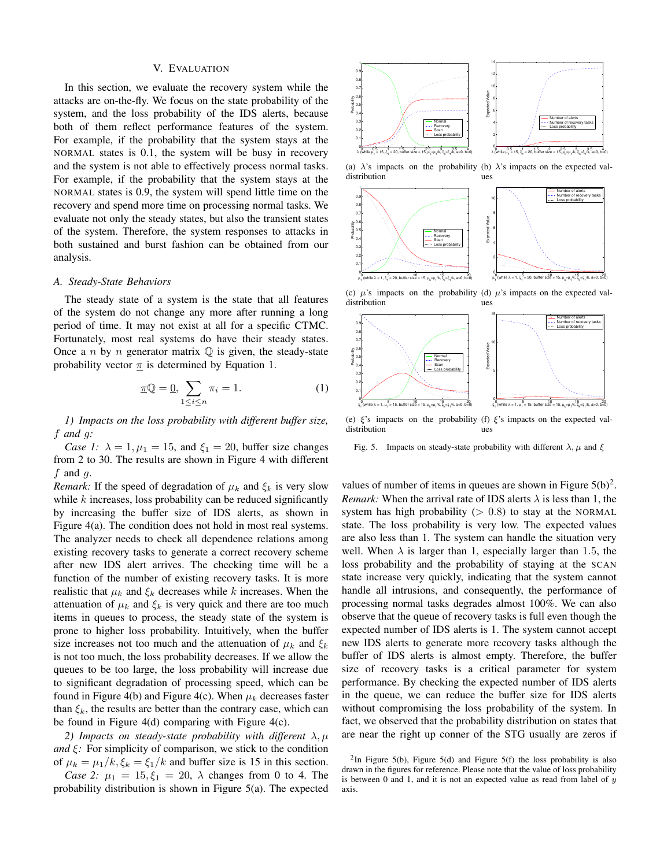#### V. EVALUATION

In this section, we evaluate the recovery system while the attacks are on-the-fly. We focus on the state probability of the system, and the loss probability of the IDS alerts, because both of them reflect performance features of the system. For example, if the probability that the system stays at the NORMAL states is 0.1, the system will be busy in recovery and the system is not able to effectively process normal tasks. For example, if the probability that the system stays at the NORMAL states is 0.9, the system will spend little time on the recovery and spend more time on processing normal tasks. We evaluate not only the steady states, but also the transient states of the system. Therefore, the system responses to attacks in both sustained and burst fashion can be obtained from our analysis.

## *A. Steady-State Behaviors*

The steady state of a system is the state that all features of the system do not change any more after running a long period of time. It may not exist at all for a specific CTMC. Fortunately, most real systems do have their steady states. Once a n by n generator matrix  $\mathbb Q$  is given, the steady-state probability vector  $\pi$  is determined by Equation 1.

$$
\underline{\pi}\mathbb{Q} = \underline{0}, \sum_{1 \le i \le n} \pi_i = 1. \tag{1}
$$

*1) Impacts on the loss probability with different buffer size,* f *and* g*:*

*Case 1:*  $\lambda = 1, \mu_1 = 15$ , and  $\xi_1 = 20$ , buffer size changes from 2 to 30. The results are shown in Figure 4 with different  $f$  and  $g$ .

*Remark:* If the speed of degradation of  $\mu_k$  and  $\xi_k$  is very slow while  $k$  increases, loss probability can be reduced significantly by increasing the buffer size of IDS alerts, as shown in Figure 4(a). The condition does not hold in most real systems. The analyzer needs to check all dependence relations among existing recovery tasks to generate a correct recovery scheme after new IDS alert arrives. The checking time will be a function of the number of existing recovery tasks. It is more realistic that  $\mu_k$  and  $\xi_k$  decreases while k increases. When the attenuation of  $\mu_k$  and  $\xi_k$  is very quick and there are too much items in queues to process, the steady state of the system is prone to higher loss probability. Intuitively, when the buffer size increases not too much and the attenuation of  $\mu_k$  and  $\xi_k$ is not too much, the loss probability decreases. If we allow the queues to be too large, the loss probability will increase due to significant degradation of processing speed, which can be found in Figure 4(b) and Figure 4(c). When  $\mu_k$  decreases faster than  $\xi_k$ , the results are better than the contrary case, which can be found in Figure 4(d) comparing with Figure 4(c).

*2) Impacts on steady-state probability with different*  $\lambda, \mu$ *and*  $\xi$ : For simplicity of comparison, we stick to the condition of  $\mu_k = \mu_1/k$ ,  $\xi_k = \xi_1/k$  and buffer size is 15 in this section.

*Case* 2:  $\mu_1 = 15, \xi_1 = 20, \lambda$  changes from 0 to 4. The probability distribution is shown in Figure 5(a). The expected



(a)  $\lambda$ 's impacts on the probability (b)  $\lambda$ 's impacts on the expected valdistribution ues



(c)  $\mu$ 's impacts on the probability (d)  $\mu$ 's impacts on the expected valdistribution ues



(e)  $\xi$ 's impacts on the probability (f)  $\xi$ 's impacts on the expected valdistribution ues

Fig. 5. Impacts on steady-state probability with different  $\lambda$ ,  $\mu$  and  $\xi$ 

values of number of items in queues are shown in Figure  $5(b)^2$ . *Remark:* When the arrival rate of IDS alerts  $\lambda$  is less than 1, the system has high probability  $(> 0.8)$  to stay at the NORMAL state. The loss probability is very low. The expected values are also less than 1. The system can handle the situation very well. When  $\lambda$  is larger than 1, especially larger than 1.5, the loss probability and the probability of staying at the SCAN state increase very quickly, indicating that the system cannot handle all intrusions, and consequently, the performance of processing normal tasks degrades almost 100%. We can also observe that the queue of recovery tasks is full even though the expected number of IDS alerts is 1. The system cannot accept new IDS alerts to generate more recovery tasks although the buffer of IDS alerts is almost empty. Therefore, the buffer size of recovery tasks is a critical parameter for system performance. By checking the expected number of IDS alerts in the queue, we can reduce the buffer size for IDS alerts without compromising the loss probability of the system. In fact, we observed that the probability distribution on states that are near the right up conner of the STG usually are zeros if

<sup>&</sup>lt;sup>2</sup>In Figure 5(b), Figure 5(d) and Figure 5(f) the loss probability is also drawn in the figures for reference. Please note that the value of loss probability is between 0 and 1, and it is not an expected value as read from label of  $y$ axis.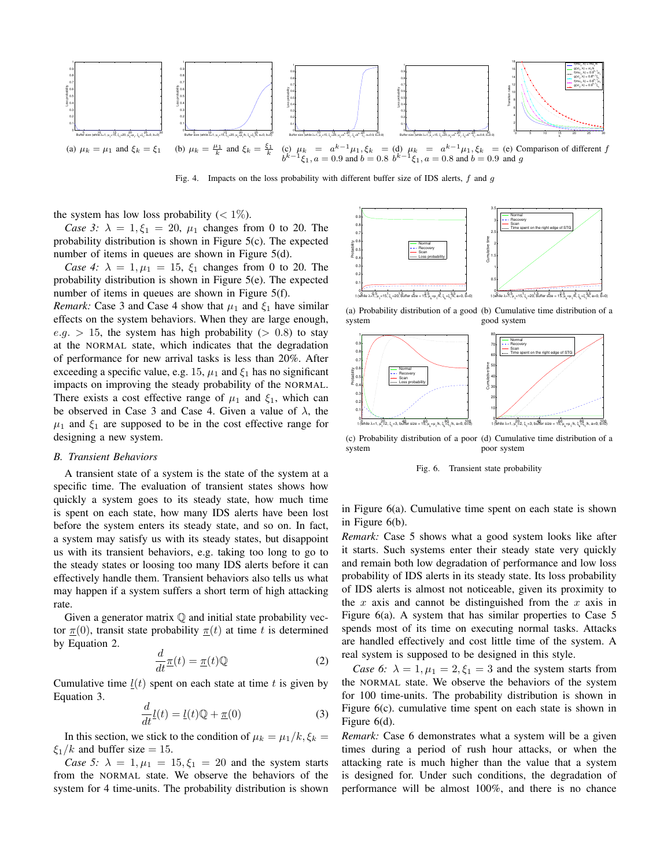

Fig. 4. Impacts on the loss probability with different buffer size of IDS alerts,  $f$  and  $g$ 

the system has low loss probability  $(< 1\%$ ).

*Case* 3:  $\lambda = 1, \xi_1 = 20, \mu_1$  changes from 0 to 20. The probability distribution is shown in Figure 5(c). The expected number of items in queues are shown in Figure 5(d).

*Case* 4:  $\lambda = 1, \mu_1 = 15, \xi_1$  changes from 0 to 20. The probability distribution is shown in Figure 5(e). The expected number of items in queues are shown in Figure 5(f).

*Remark:* Case 3 and Case 4 show that  $\mu_1$  and  $\xi_1$  have similar effects on the system behaviors. When they are large enough,  $e.q. > 15$ , the system has high probability ( $> 0.8$ ) to stay at the NORMAL state, which indicates that the degradation of performance for new arrival tasks is less than 20%. After exceeding a specific value, e.g. 15,  $\mu_1$  and  $\xi_1$  has no significant impacts on improving the steady probability of the NORMAL. There exists a cost effective range of  $\mu_1$  and  $\xi_1$ , which can be observed in Case 3 and Case 4. Given a value of  $\lambda$ , the  $\mu_1$  and  $\xi_1$  are supposed to be in the cost effective range for designing a new system.

## *B. Transient Behaviors*

A transient state of a system is the state of the system at a specific time. The evaluation of transient states shows how quickly a system goes to its steady state, how much time is spent on each state, how many IDS alerts have been lost before the system enters its steady state, and so on. In fact, a system may satisfy us with its steady states, but disappoint us with its transient behaviors, e.g. taking too long to go to the steady states or loosing too many IDS alerts before it can effectively handle them. Transient behaviors also tells us what may happen if a system suffers a short term of high attacking rate.

Given a generator matrix  $\mathbb Q$  and initial state probability vector  $\pi(0)$ , transit state probability  $\pi(t)$  at time t is determined by Equation 2.

$$
\frac{d}{dt}\underline{\pi}(t) = \underline{\pi}(t)\mathbb{Q}
$$
 (2)

Cumulative time  $l(t)$  spent on each state at time t is given by Equation 3.

$$
\frac{d}{dt}\underline{l}(t) = \underline{l}(t)\mathbb{Q} + \underline{\pi}(0)
$$
\n(3)

In this section, we stick to the condition of  $\mu_k = \mu_1/k$ ,  $\xi_k =$  $\xi_1/k$  and buffer size = 15.

*Case* 5:  $\lambda = 1, \mu_1 = 15, \xi_1 = 20$  and the system starts from the NORMAL state. We observe the behaviors of the system for 4 time-units. The probability distribution is shown



(a) Probability distribution of a good (b) Cumulative time distribution of a system good system



(c) Probability distribution of a poor (d) Cumulative time distribution of a system poor system

Fig. 6. Transient state probability

in Figure 6(a). Cumulative time spent on each state is shown in Figure 6(b).

*Remark:* Case 5 shows what a good system looks like after it starts. Such systems enter their steady state very quickly and remain both low degradation of performance and low loss probability of IDS alerts in its steady state. Its loss probability of IDS alerts is almost not noticeable, given its proximity to the  $x$  axis and cannot be distinguished from the  $x$  axis in Figure 6(a). A system that has similar properties to Case 5 spends most of its time on executing normal tasks. Attacks are handled effectively and cost little time of the system. A real system is supposed to be designed in this style.

*Case* 6:  $\lambda = 1, \mu_1 = 2, \xi_1 = 3$  and the system starts from the NORMAL state. We observe the behaviors of the system for 100 time-units. The probability distribution is shown in Figure 6(c). cumulative time spent on each state is shown in Figure 6(d).

*Remark:* Case 6 demonstrates what a system will be a given times during a period of rush hour attacks, or when the attacking rate is much higher than the value that a system is designed for. Under such conditions, the degradation of performance will be almost 100%, and there is no chance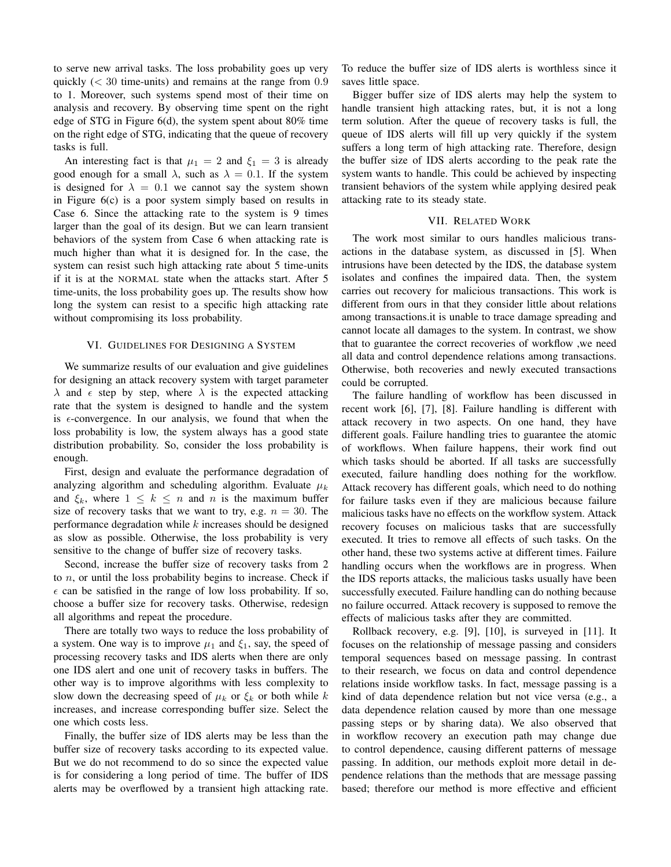to serve new arrival tasks. The loss probability goes up very quickly  $(< 30$  time-units) and remains at the range from  $0.9$ to 1. Moreover, such systems spend most of their time on analysis and recovery. By observing time spent on the right edge of STG in Figure 6(d), the system spent about 80% time on the right edge of STG, indicating that the queue of recovery tasks is full.

An interesting fact is that  $\mu_1 = 2$  and  $\xi_1 = 3$  is already good enough for a small  $\lambda$ , such as  $\lambda = 0.1$ . If the system is designed for  $\lambda = 0.1$  we cannot say the system shown in Figure 6(c) is a poor system simply based on results in Case 6. Since the attacking rate to the system is 9 times larger than the goal of its design. But we can learn transient behaviors of the system from Case 6 when attacking rate is much higher than what it is designed for. In the case, the system can resist such high attacking rate about 5 time-units if it is at the NORMAL state when the attacks start. After 5 time-units, the loss probability goes up. The results show how long the system can resist to a specific high attacking rate without compromising its loss probability.

# VI. GUIDELINES FOR DESIGNING A SYSTEM

We summarize results of our evaluation and give guidelines for designing an attack recovery system with target parameter  $\lambda$  and  $\epsilon$  step by step, where  $\lambda$  is the expected attacking rate that the system is designed to handle and the system is  $\epsilon$ -convergence. In our analysis, we found that when the loss probability is low, the system always has a good state distribution probability. So, consider the loss probability is enough.

First, design and evaluate the performance degradation of analyzing algorithm and scheduling algorithm. Evaluate  $\mu_k$ and  $\xi_k$ , where  $1 \leq k \leq n$  and n is the maximum buffer size of recovery tasks that we want to try, e.g.  $n = 30$ . The performance degradation while  $k$  increases should be designed as slow as possible. Otherwise, the loss probability is very sensitive to the change of buffer size of recovery tasks.

Second, increase the buffer size of recovery tasks from 2 to  $n$ , or until the loss probability begins to increase. Check if  $\epsilon$  can be satisfied in the range of low loss probability. If so, choose a buffer size for recovery tasks. Otherwise, redesign all algorithms and repeat the procedure.

There are totally two ways to reduce the loss probability of a system. One way is to improve  $\mu_1$  and  $\xi_1$ , say, the speed of processing recovery tasks and IDS alerts when there are only one IDS alert and one unit of recovery tasks in buffers. The other way is to improve algorithms with less complexity to slow down the decreasing speed of  $\mu_k$  or  $\xi_k$  or both while k increases, and increase corresponding buffer size. Select the one which costs less.

Finally, the buffer size of IDS alerts may be less than the buffer size of recovery tasks according to its expected value. But we do not recommend to do so since the expected value is for considering a long period of time. The buffer of IDS alerts may be overflowed by a transient high attacking rate. To reduce the buffer size of IDS alerts is worthless since it saves little space.

Bigger buffer size of IDS alerts may help the system to handle transient high attacking rates, but, it is not a long term solution. After the queue of recovery tasks is full, the queue of IDS alerts will fill up very quickly if the system suffers a long term of high attacking rate. Therefore, design the buffer size of IDS alerts according to the peak rate the system wants to handle. This could be achieved by inspecting transient behaviors of the system while applying desired peak attacking rate to its steady state.

# VII. RELATED WORK

The work most similar to ours handles malicious transactions in the database system, as discussed in [5]. When intrusions have been detected by the IDS, the database system isolates and confines the impaired data. Then, the system carries out recovery for malicious transactions. This work is different from ours in that they consider little about relations among transactions.it is unable to trace damage spreading and cannot locate all damages to the system. In contrast, we show that to guarantee the correct recoveries of workflow ,we need all data and control dependence relations among transactions. Otherwise, both recoveries and newly executed transactions could be corrupted.

The failure handling of workflow has been discussed in recent work [6], [7], [8]. Failure handling is different with attack recovery in two aspects. On one hand, they have different goals. Failure handling tries to guarantee the atomic of workflows. When failure happens, their work find out which tasks should be aborted. If all tasks are successfully executed, failure handling does nothing for the workflow. Attack recovery has different goals, which need to do nothing for failure tasks even if they are malicious because failure malicious tasks have no effects on the workflow system. Attack recovery focuses on malicious tasks that are successfully executed. It tries to remove all effects of such tasks. On the other hand, these two systems active at different times. Failure handling occurs when the workflows are in progress. When the IDS reports attacks, the malicious tasks usually have been successfully executed. Failure handling can do nothing because no failure occurred. Attack recovery is supposed to remove the effects of malicious tasks after they are committed.

Rollback recovery, e.g. [9], [10], is surveyed in [11]. It focuses on the relationship of message passing and considers temporal sequences based on message passing. In contrast to their research, we focus on data and control dependence relations inside workflow tasks. In fact, message passing is a kind of data dependence relation but not vice versa (e.g., a data dependence relation caused by more than one message passing steps or by sharing data). We also observed that in workflow recovery an execution path may change due to control dependence, causing different patterns of message passing. In addition, our methods exploit more detail in dependence relations than the methods that are message passing based; therefore our method is more effective and efficient